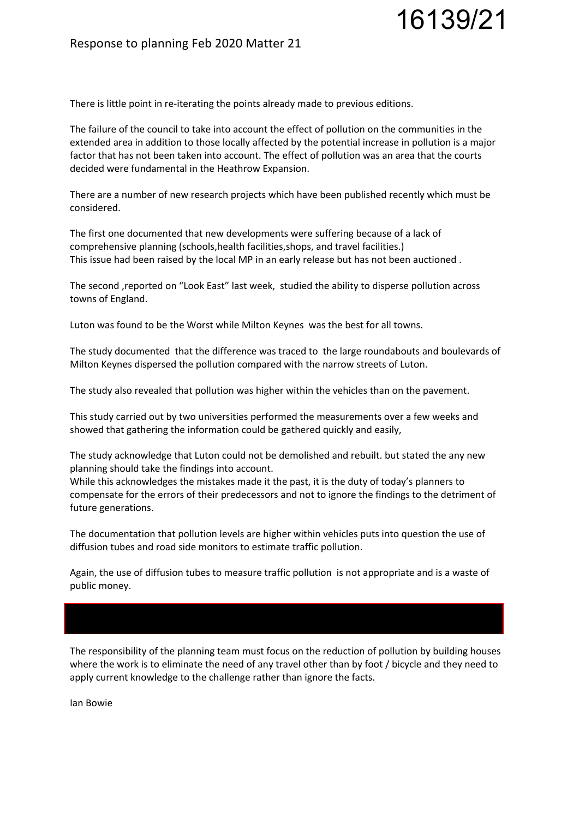## Response to planning Feb 2020 Matter 21

There is little point in re-iterating the points already made to previous editions.

The failure of the council to take into account the effect of pollution on the communities in the extended area in addition to those locally affected by the potential increase in pollution is a major factor that has not been taken into account. The effect of pollution was an area that the courts decided were fundamental in the Heathrow Expansion.

16139/21

There are a number of new research projects which have been published recently which must be considered.

The first one documented that new developments were suffering because of a lack of comprehensive planning (schools,health facilities,shops, and travel facilities.) This issue had been raised by the local MP in an early release but has not been auctioned .

The second ,reported on "Look East" last week, studied the ability to disperse pollution across towns of England.

Luton was found to be the Worst while Milton Keynes was the best for all towns.

The study documented that the difference was traced to the large roundabouts and boulevards of Milton Keynes dispersed the pollution compared with the narrow streets of Luton.

The study also revealed that pollution was higher within the vehicles than on the pavement.

This study carried out by two universities performed the measurements over a few weeks and showed that gathering the information could be gathered quickly and easily,

The study acknowledge that Luton could not be demolished and rebuilt. but stated the any new planning should take the findings into account.

While this acknowledges the mistakes made it the past, it is the duty of today's planners to compensate for the errors of their predecessors and not to ignore the findings to the detriment of future generations.

The documentation that pollution levels are higher within vehicles puts into question the use of diffusion tubes and road side monitors to estimate traffic pollution.

Again, the use of diffusion tubes to measure traffic pollution is not appropriate and is a waste of public money.

The responsibility of the planning team must focus on the reduction of pollution by building houses where the work is to eliminate the need of any travel other than by foot / bicycle and they need to apply current knowledge to the challenge rather than ignore the facts.

Ian Bowie